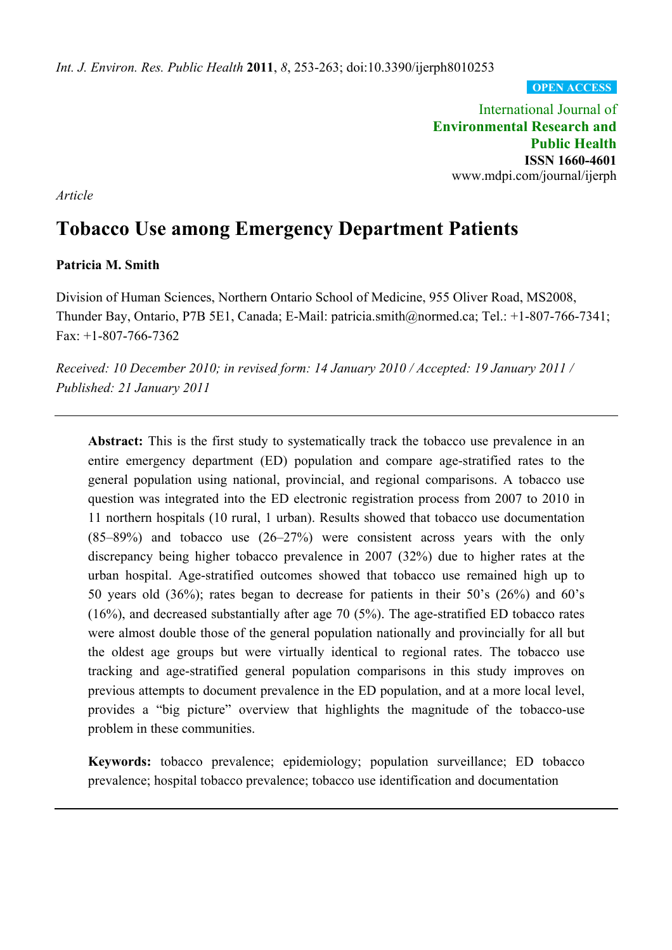**OPEN ACCESS**

International Journal of **Environmental Research and Public Health ISSN 1660-4601**  www.mdpi.com/journal/ijerph

*Article* 

# **Tobacco Use among Emergency Department Patients**

# **Patricia M. Smith**

Division of Human Sciences, Northern Ontario School of Medicine, 955 Oliver Road, MS2008, Thunder Bay, Ontario, P7B 5E1, Canada; E-Mail: patricia.smith@normed.ca; Tel.: +1-807-766-7341; Fax: +1-807-766-7362

*Received: 10 December 2010; in revised form: 14 January 2010 / Accepted: 19 January 2011 / Published: 21 January 2011* 

Abstract: This is the first study to systematically track the tobacco use prevalence in an entire emergency department (ED) population and compare age-stratified rates to the general population using national, provincial, and regional comparisons. A tobacco use question was integrated into the ED electronic registration process from 2007 to 2010 in 11 northern hospitals (10 rural, 1 urban). Results showed that tobacco use documentation (85–89%) and tobacco use (26–27%) were consistent across years with the only discrepancy being higher tobacco prevalence in 2007 (32%) due to higher rates at the urban hospital. Age-stratified outcomes showed that tobacco use remained high up to 50 years old (36%); rates began to decrease for patients in their 50's (26%) and 60's  $(16%)$ , and decreased substantially after age 70 (5%). The age-stratified ED tobacco rates were almost double those of the general population nationally and provincially for all but the oldest age groups but were virtually identical to regional rates. The tobacco use tracking and age-stratified general population comparisons in this study improves on previous attempts to document prevalence in the ED population, and at a more local level, provides a "big picture" overview that highlights the magnitude of the tobacco-use problem in these communities.

**Keywords:** tobacco prevalence; epidemiology; population surveillance; ED tobacco prevalence; hospital tobacco prevalence; tobacco use identification and documentation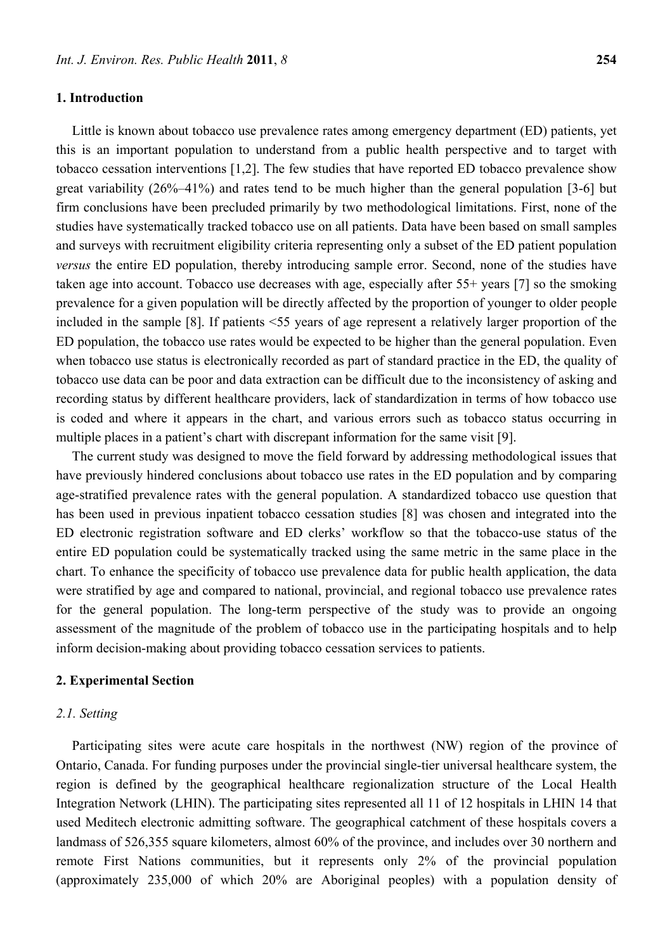#### **1. Introduction**

Little is known about tobacco use prevalence rates among emergency department (ED) patients, yet this is an important population to understand from a public health perspective and to target with tobacco cessation interventions [1,2]. The few studies that have reported ED tobacco prevalence show great variability (26%–41%) and rates tend to be much higher than the general population [3-6] but firm conclusions have been precluded primarily by two methodological limitations. First, none of the studies have systematically tracked tobacco use on all patients. Data have been based on small samples and surveys with recruitment eligibility criteria representing only a subset of the ED patient population *versus* the entire ED population, thereby introducing sample error. Second, none of the studies have taken age into account. Tobacco use decreases with age, especially after 55+ years [7] so the smoking prevalence for a given population will be directly affected by the proportion of younger to older people included in the sample [8]. If patients <55 years of age represent a relatively larger proportion of the ED population, the tobacco use rates would be expected to be higher than the general population. Even when tobacco use status is electronically recorded as part of standard practice in the ED, the quality of

tobacco use data can be poor and data extraction can be difficult due to the inconsistency of asking and recording status by different healthcare providers, lack of standardization in terms of how tobacco use is coded and where it appears in the chart, and various errors such as tobacco status occurring in multiple places in a patient's chart with discrepant information for the same visit [9].

The current study was designed to move the field forward by addressing methodological issues that have previously hindered conclusions about tobacco use rates in the ED population and by comparing age-stratified prevalence rates with the general population. A standardized tobacco use question that has been used in previous inpatient tobacco cessation studies [8] was chosen and integrated into the ED electronic registration software and ED clerks' workflow so that the tobacco-use status of the entire ED population could be systematically tracked using the same metric in the same place in the chart. To enhance the specificity of tobacco use prevalence data for public health application, the data were stratified by age and compared to national, provincial, and regional tobacco use prevalence rates for the general population. The long-term perspective of the study was to provide an ongoing assessment of the magnitude of the problem of tobacco use in the participating hospitals and to help inform decision-making about providing tobacco cessation services to patients.

#### **2. Experimental Section**

## *2.1. Setting*

Participating sites were acute care hospitals in the northwest (NW) region of the province of Ontario, Canada. For funding purposes under the provincial single-tier universal healthcare system, the region is defined by the geographical healthcare regionalization structure of the Local Health Integration Network (LHIN). The participating sites represented all 11 of 12 hospitals in LHIN 14 that used Meditech electronic admitting software. The geographical catchment of these hospitals covers a landmass of 526,355 square kilometers, almost 60% of the province, and includes over 30 northern and remote First Nations communities, but it represents only 2% of the provincial population (approximately 235,000 of which 20% are Aboriginal peoples) with a population density of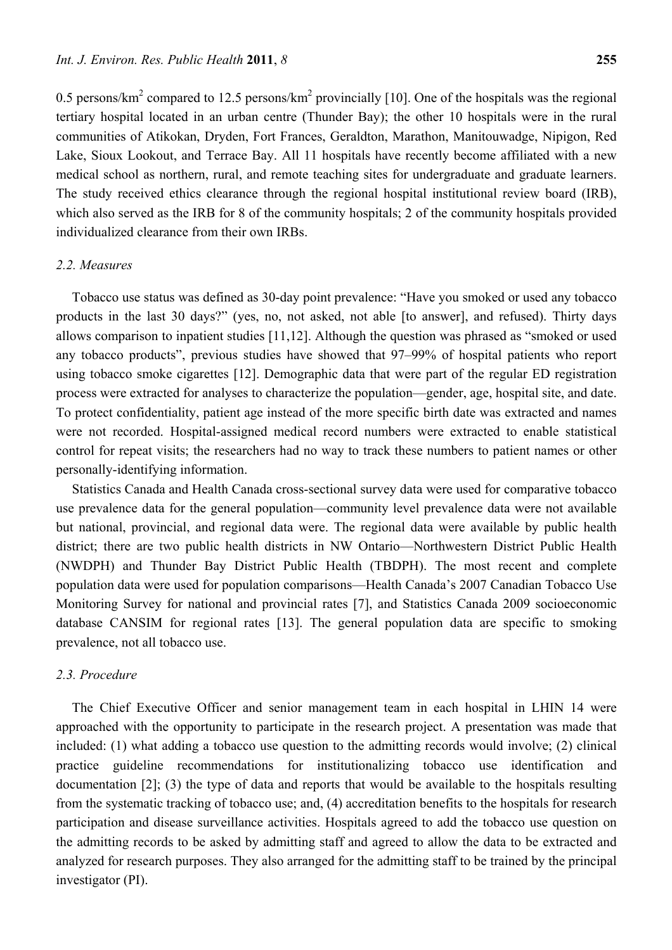0.5 persons/km<sup>2</sup> compared to 12.5 persons/km<sup>2</sup> provincially [10]. One of the hospitals was the regional tertiary hospital located in an urban centre (Thunder Bay); the other 10 hospitals were in the rural communities of Atikokan, Dryden, Fort Frances, Geraldton, Marathon, Manitouwadge, Nipigon, Red Lake, Sioux Lookout, and Terrace Bay. All 11 hospitals have recently become affiliated with a new medical school as northern, rural, and remote teaching sites for undergraduate and graduate learners. The study received ethics clearance through the regional hospital institutional review board (IRB), which also served as the IRB for 8 of the community hospitals; 2 of the community hospitals provided individualized clearance from their own IRBs.

## *2.2. Measures*

Tobacco use status was defined as 30-day point prevalence: "Have you smoked or used any tobacco products in the last 30 days?" (yes, no, not asked, not able [to answer], and refused). Thirty days allows comparison to inpatient studies [11,12]. Although the question was phrased as "smoked or used any tobacco products", previous studies have showed that 97–99% of hospital patients who report using tobacco smoke cigarettes [12]. Demographic data that were part of the regular ED registration process were extracted for analyses to characterize the population—gender, age, hospital site, and date. To protect confidentiality, patient age instead of the more specific birth date was extracted and names were not recorded. Hospital-assigned medical record numbers were extracted to enable statistical control for repeat visits; the researchers had no way to track these numbers to patient names or other personally-identifying information.

Statistics Canada and Health Canada cross-sectional survey data were used for comparative tobacco use prevalence data for the general population—community level prevalence data were not available but national, provincial, and regional data were. The regional data were available by public health district; there are two public health districts in NW Ontario—Northwestern District Public Health (NWDPH) and Thunder Bay District Public Health (TBDPH). The most recent and complete population data were used for population comparisons—Health Canada's 2007 Canadian Tobacco Use Monitoring Survey for national and provincial rates [7], and Statistics Canada 2009 socioeconomic database CANSIM for regional rates [13]. The general population data are specific to smoking prevalence, not all tobacco use.

#### *2.3. Procedure*

The Chief Executive Officer and senior management team in each hospital in LHIN 14 were approached with the opportunity to participate in the research project. A presentation was made that included: (1) what adding a tobacco use question to the admitting records would involve; (2) clinical practice guideline recommendations for institutionalizing tobacco use identification and documentation [2]; (3) the type of data and reports that would be available to the hospitals resulting from the systematic tracking of tobacco use; and, (4) accreditation benefits to the hospitals for research participation and disease surveillance activities. Hospitals agreed to add the tobacco use question on the admitting records to be asked by admitting staff and agreed to allow the data to be extracted and analyzed for research purposes. They also arranged for the admitting staff to be trained by the principal investigator (PI).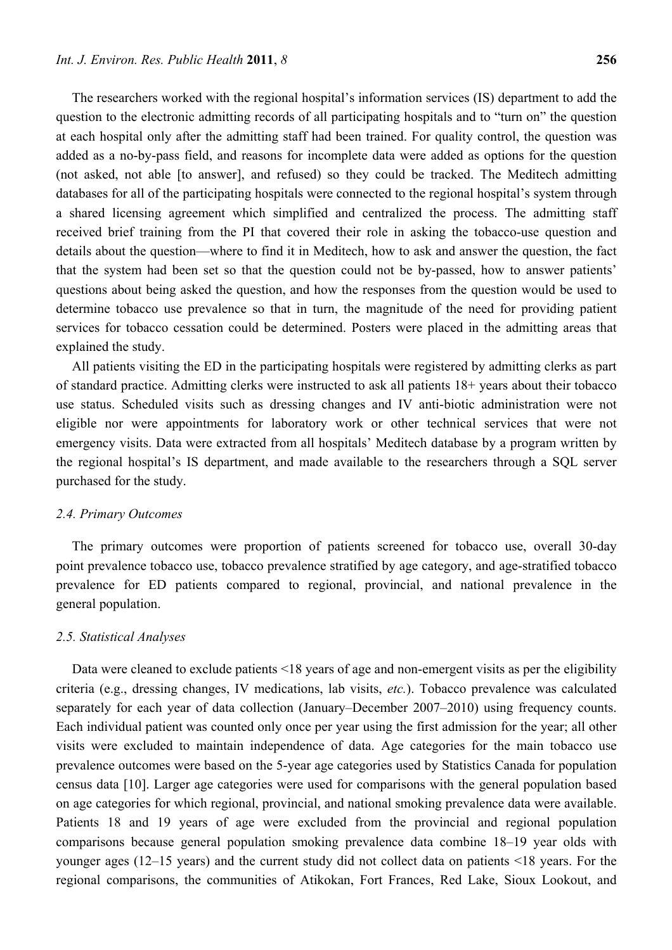The researchers worked with the regional hospital's information services (IS) department to add the question to the electronic admitting records of all participating hospitals and to "turn on" the question at each hospital only after the admitting staff had been trained. For quality control, the question was added as a no-by-pass field, and reasons for incomplete data were added as options for the question (not asked, not able [to answer], and refused) so they could be tracked. The Meditech admitting databases for all of the participating hospitals were connected to the regional hospital's system through a shared licensing agreement which simplified and centralized the process. The admitting staff received brief training from the PI that covered their role in asking the tobacco-use question and details about the question—where to find it in Meditech, how to ask and answer the question, the fact that the system had been set so that the question could not be by-passed, how to answer patients' questions about being asked the question, and how the responses from the question would be used to determine tobacco use prevalence so that in turn, the magnitude of the need for providing patient services for tobacco cessation could be determined. Posters were placed in the admitting areas that explained the study.

All patients visiting the ED in the participating hospitals were registered by admitting clerks as part of standard practice. Admitting clerks were instructed to ask all patients 18+ years about their tobacco use status. Scheduled visits such as dressing changes and IV anti-biotic administration were not eligible nor were appointments for laboratory work or other technical services that were not emergency visits. Data were extracted from all hospitals' Meditech database by a program written by the regional hospital's IS department, and made available to the researchers through a SQL server purchased for the study.

#### *2.4. Primary Outcomes*

The primary outcomes were proportion of patients screened for tobacco use, overall 30-day point prevalence tobacco use, tobacco prevalence stratified by age category, and age-stratified tobacco prevalence for ED patients compared to regional, provincial, and national prevalence in the general population.

#### *2.5. Statistical Analyses*

Data were cleaned to exclude patients <18 years of age and non-emergent visits as per the eligibility criteria (e.g., dressing changes, IV medications, lab visits, *etc.*). Tobacco prevalence was calculated separately for each year of data collection (January–December 2007–2010) using frequency counts. Each individual patient was counted only once per year using the first admission for the year; all other visits were excluded to maintain independence of data. Age categories for the main tobacco use prevalence outcomes were based on the 5-year age categories used by Statistics Canada for population census data [10]. Larger age categories were used for comparisons with the general population based on age categories for which regional, provincial, and national smoking prevalence data were available. Patients 18 and 19 years of age were excluded from the provincial and regional population comparisons because general population smoking prevalence data combine 18–19 year olds with younger ages (12–15 years) and the current study did not collect data on patients <18 years. For the regional comparisons, the communities of Atikokan, Fort Frances, Red Lake, Sioux Lookout, and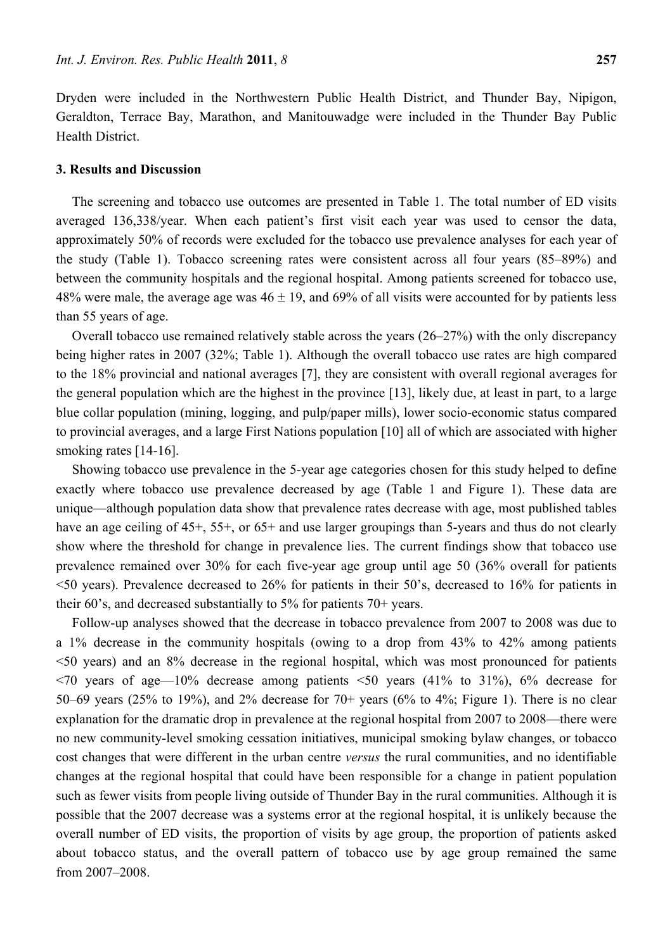Dryden were included in the Northwestern Public Health District, and Thunder Bay, Nipigon, Geraldton, Terrace Bay, Marathon, and Manitouwadge were included in the Thunder Bay Public Health District.

## **3. Results and Discussion**

The screening and tobacco use outcomes are presented in Table 1. The total number of ED visits averaged 136,338/year. When each patient's first visit each year was used to censor the data, approximately 50% of records were excluded for the tobacco use prevalence analyses for each year of the study (Table 1). Tobacco screening rates were consistent across all four years (85–89%) and between the community hospitals and the regional hospital. Among patients screened for tobacco use, 48% were male, the average age was  $46 \pm 19$ , and 69% of all visits were accounted for by patients less than 55 years of age.

Overall tobacco use remained relatively stable across the years (26–27%) with the only discrepancy being higher rates in 2007 (32%; Table 1). Although the overall tobacco use rates are high compared to the 18% provincial and national averages [7], they are consistent with overall regional averages for the general population which are the highest in the province [13], likely due, at least in part, to a large blue collar population (mining, logging, and pulp/paper mills), lower socio-economic status compared to provincial averages, and a large First Nations population [10] all of which are associated with higher smoking rates [14-16].

Showing tobacco use prevalence in the 5-year age categories chosen for this study helped to define exactly where tobacco use prevalence decreased by age (Table 1 and Figure 1). These data are unique—although population data show that prevalence rates decrease with age, most published tables have an age ceiling of 45+, 55+, or 65+ and use larger groupings than 5-years and thus do not clearly show where the threshold for change in prevalence lies. The current findings show that tobacco use prevalence remained over 30% for each five-year age group until age 50 (36% overall for patients  $\leq$ 50 years). Prevalence decreased to 26% for patients in their 50's, decreased to 16% for patients in their 60's, and decreased substantially to 5% for patients 70+ years.

Follow-up analyses showed that the decrease in tobacco prevalence from 2007 to 2008 was due to a 1% decrease in the community hospitals (owing to a drop from 43% to 42% among patients <50 years) and an 8% decrease in the regional hospital, which was most pronounced for patients  $\leq$ 70 years of age—10% decrease among patients  $\leq$ 50 years (41% to 31%), 6% decrease for 50–69 years (25% to 19%), and 2% decrease for 70+ years (6% to 4%; Figure 1). There is no clear explanation for the dramatic drop in prevalence at the regional hospital from 2007 to 2008—there were no new community-level smoking cessation initiatives, municipal smoking bylaw changes, or tobacco cost changes that were different in the urban centre *versus* the rural communities, and no identifiable changes at the regional hospital that could have been responsible for a change in patient population such as fewer visits from people living outside of Thunder Bay in the rural communities. Although it is possible that the 2007 decrease was a systems error at the regional hospital, it is unlikely because the overall number of ED visits, the proportion of visits by age group, the proportion of patients asked about tobacco status, and the overall pattern of tobacco use by age group remained the same from 2007–2008.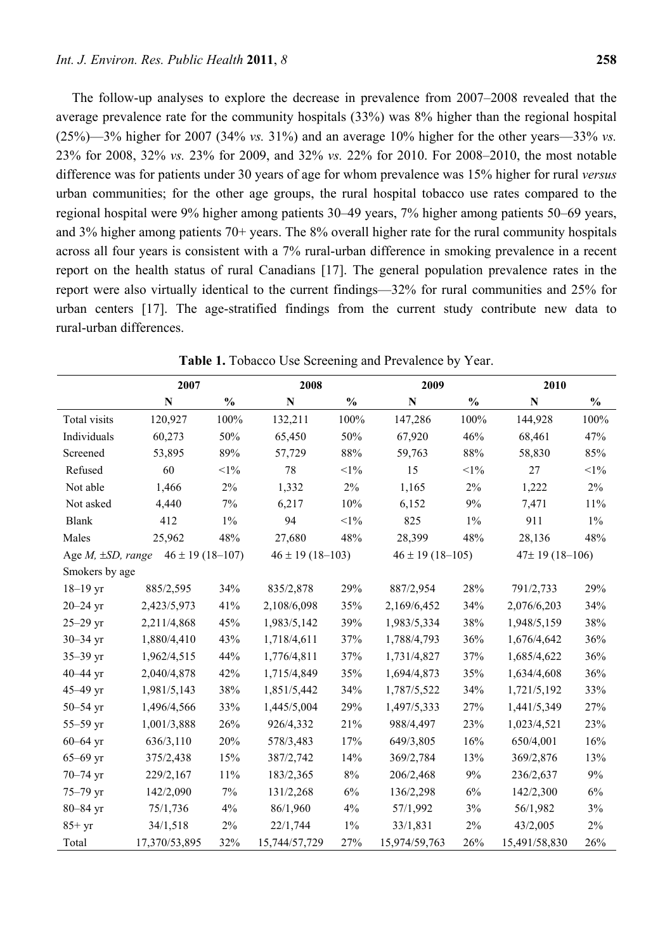The follow-up analyses to explore the decrease in prevalence from 2007–2008 revealed that the average prevalence rate for the community hospitals (33%) was 8% higher than the regional hospital (25%)—3% higher for 2007 (34% *vs.* 31%) and an average 10% higher for the other years—33% *vs.* 23% for 2008, 32% *vs.* 23% for 2009, and 32% *vs.* 22% for 2010. For 2008–2010, the most notable difference was for patients under 30 years of age for whom prevalence was 15% higher for rural *versus* urban communities; for the other age groups, the rural hospital tobacco use rates compared to the regional hospital were 9% higher among patients 30–49 years, 7% higher among patients 50–69 years, and 3% higher among patients 70+ years. The 8% overall higher rate for the rural community hospitals across all four years is consistent with a 7% rural-urban difference in smoking prevalence in a recent report on the health status of rural Canadians [17]. The general population prevalence rates in the report were also virtually identical to the current findings—32% for rural communities and 25% for urban centers [17]. The age-stratified findings from the current study contribute new data to rural-urban differences.

|                                                    | 2007          |               | 2008                 |               | 2009                 |               | 2010                  |               |
|----------------------------------------------------|---------------|---------------|----------------------|---------------|----------------------|---------------|-----------------------|---------------|
|                                                    | $\mathbf N$   | $\frac{0}{0}$ | N                    | $\frac{0}{0}$ | N                    | $\frac{0}{0}$ | $\mathbf N$           | $\frac{0}{0}$ |
| Total visits                                       | 120,927       | 100%          | 132,211              | 100%          | 147,286              | 100%          | 144,928               | 100%          |
| Individuals                                        | 60,273        | 50%           | 65,450               | 50%           | 67,920               | 46%           | 68,461                | 47%           |
| Screened                                           | 53,895        | 89%           | 57,729               | 88%           | 59,763               | 88%           | 58,830                | 85%           |
| Refused                                            | 60            | $<\!\!1\%$    | 78                   | $<\!\!1\%$    | 15                   | $<$ l $%$     | 27                    | $<\!\!1\%$    |
| Not able                                           | 1,466         | 2%            | 1,332                | $2\%$         | 1,165                | $2\%$         | 1,222                 | $2\%$         |
| Not asked                                          | 4,440         | 7%            | 6,217                | 10%           | 6,152                | 9%            | 7,471                 | 11%           |
| <b>Blank</b>                                       | 412           | $1\%$         | 94                   | $<1\%$        | 825                  | $1\%$         | 911                   | $1\%$         |
| Males                                              | 25,962        | 48%           | 27,680               | 48%           | 28,399               | 48%           | 28,136                | 48%           |
| $46 \pm 19$ (18-107)<br>Age $M$ , $\pm SD$ , range |               |               | $46 \pm 19$ (18-103) |               | $46 \pm 19$ (18-105) |               | $47 \pm 19(18 - 106)$ |               |
| Smokers by age                                     |               |               |                      |               |                      |               |                       |               |
| $18 - 19$ yr                                       | 885/2,595     | 34%           | 835/2,878            | 29%           | 887/2,954            | 28%           | 791/2,733             | 29%           |
| $20 - 24$ yr                                       | 2,423/5,973   | 41%           | 2,108/6,098          | 35%           | 2,169/6,452          | 34%           | 2,076/6,203           | 34%           |
| $25 - 29$ yr                                       | 2,211/4,868   | 45%           | 1,983/5,142          | 39%           | 1,983/5,334          | 38%           | 1,948/5,159           | 38%           |
| $30 - 34$ yr                                       | 1,880/4,410   | 43%           | 1,718/4,611          | 37%           | 1,788/4,793          | 36%           | 1,676/4,642           | 36%           |
| $35 - 39$ yr                                       | 1,962/4,515   | 44%           | 1,776/4,811          | 37%           | 1,731/4,827          | 37%           | 1,685/4,622           | 36%           |
| $40 - 44$ yr                                       | 2,040/4,878   | 42%           | 1,715/4,849          | 35%           | 1,694/4,873          | 35%           | 1,634/4,608           | 36%           |
| 45-49 yr                                           | 1,981/5,143   | 38%           | 1,851/5,442          | 34%           | 1,787/5,522          | 34%           | 1,721/5,192           | 33%           |
| $50 - 54$ yr                                       | 1,496/4,566   | 33%           | 1,445/5,004          | 29%           | 1,497/5,333          | 27%           | 1,441/5,349           | 27%           |
| $55 - 59$ yr                                       | 1,001/3,888   | 26%           | 926/4,332            | 21%           | 988/4,497            | 23%           | 1,023/4,521           | 23%           |
| $60 - 64$ yr                                       | 636/3,110     | 20%           | 578/3,483            | 17%           | 649/3,805            | 16%           | 650/4,001             | 16%           |
| $65 - 69$ yr                                       | 375/2,438     | 15%           | 387/2,742            | 14%           | 369/2,784            | 13%           | 369/2,876             | 13%           |
| $70 - 74$ yr                                       | 229/2,167     | $11\%$        | 183/2,365            | $8\%$         | 206/2,468            | 9%            | 236/2,637             | 9%            |
| 75-79 yr                                           | 142/2,090     | 7%            | 131/2,268            | 6%            | 136/2,298            | 6%            | 142/2,300             | 6%            |
| $80 - 84$ yr                                       | 75/1,736      | 4%            | 86/1,960             | 4%            | 57/1,992             | 3%            | 56/1,982              | 3%            |
| $85+yr$                                            | 34/1,518      | $2\%$         | 22/1,744             | $1\%$         | 33/1,831             | $2\%$         | 43/2,005              | $2\%$         |
| Total                                              | 17,370/53,895 | 32%           | 15,744/57,729        | 27%           | 15,974/59,763        | 26%           | 15,491/58,830         | 26%           |

Table 1. Tobacco Use Screening and Prevalence by Year.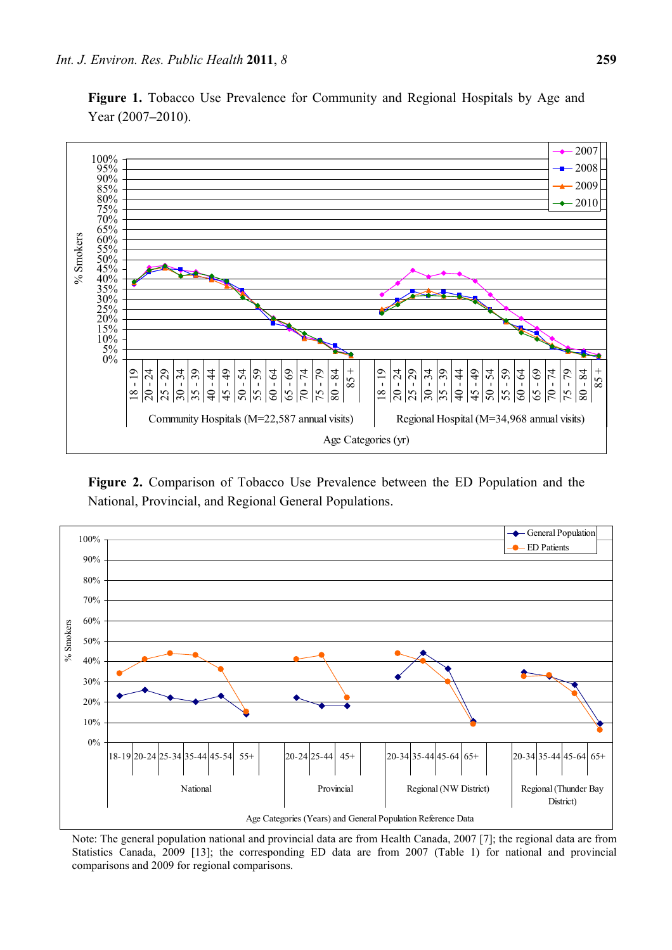Figure 1. Tobacco Use Prevalence for Community and Regional Hospitals by Age and Year (2007**–**2010).



**Figure 2.** Comparison of Tobacco Use Prevalence between the ED Population and the National, Provincial, and Regional General Populations.



Note: The general population national and provincial data are from Health Canada, 2007 [7]; the regional data are from Statistics Canada, 2009 [13]; the corresponding ED data are from 2007 (Table 1) for national and provincial comparisons and 2009 for regional comparisons.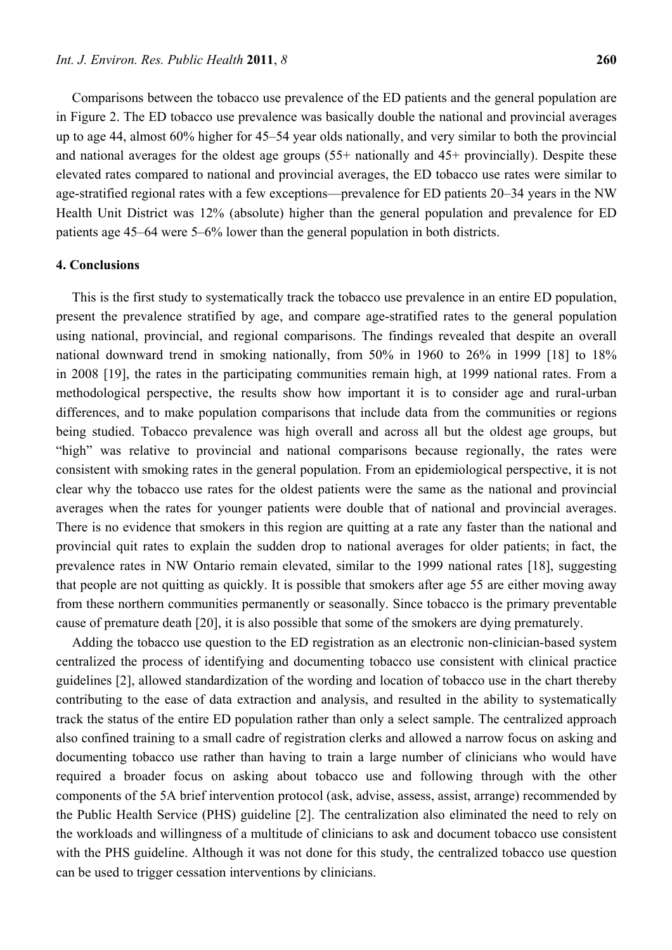Comparisons between the tobacco use prevalence of the ED patients and the general population are in Figure 2. The ED tobacco use prevalence was basically double the national and provincial averages up to age 44, almost 60% higher for 45–54 year olds nationally, and very similar to both the provincial and national averages for the oldest age groups (55+ nationally and 45+ provincially). Despite these elevated rates compared to national and provincial averages, the ED tobacco use rates were similar to age-stratified regional rates with a few exceptions—prevalence for ED patients 20–34 years in the NW Health Unit District was 12% (absolute) higher than the general population and prevalence for ED patients age 45–64 were 5–6% lower than the general population in both districts.

## **4. Conclusions**

This is the first study to systematically track the tobacco use prevalence in an entire ED population, present the prevalence stratified by age, and compare age-stratified rates to the general population using national, provincial, and regional comparisons. The findings revealed that despite an overall national downward trend in smoking nationally, from 50% in 1960 to 26% in 1999 [18] to 18% in 2008 [19], the rates in the participating communities remain high, at 1999 national rates. From a methodological perspective, the results show how important it is to consider age and rural-urban differences, and to make population comparisons that include data from the communities or regions being studied. Tobacco prevalence was high overall and across all but the oldest age groups, but "high" was relative to provincial and national comparisons because regionally, the rates were consistent with smoking rates in the general population. From an epidemiological perspective, it is not clear why the tobacco use rates for the oldest patients were the same as the national and provincial averages when the rates for younger patients were double that of national and provincial averages. There is no evidence that smokers in this region are quitting at a rate any faster than the national and provincial quit rates to explain the sudden drop to national averages for older patients; in fact, the prevalence rates in NW Ontario remain elevated, similar to the 1999 national rates [18], suggesting that people are not quitting as quickly. It is possible that smokers after age 55 are either moving away from these northern communities permanently or seasonally. Since tobacco is the primary preventable cause of premature death [20], it is also possible that some of the smokers are dying prematurely.

Adding the tobacco use question to the ED registration as an electronic non-clinician-based system centralized the process of identifying and documenting tobacco use consistent with clinical practice guidelines [2], allowed standardization of the wording and location of tobacco use in the chart thereby contributing to the ease of data extraction and analysis, and resulted in the ability to systematically track the status of the entire ED population rather than only a select sample. The centralized approach also confined training to a small cadre of registration clerks and allowed a narrow focus on asking and documenting tobacco use rather than having to train a large number of clinicians who would have required a broader focus on asking about tobacco use and following through with the other components of the 5A brief intervention protocol (ask, advise, assess, assist, arrange) recommended by the Public Health Service (PHS) guideline [2]. The centralization also eliminated the need to rely on the workloads and willingness of a multitude of clinicians to ask and document tobacco use consistent with the PHS guideline. Although it was not done for this study, the centralized tobacco use question can be used to trigger cessation interventions by clinicians.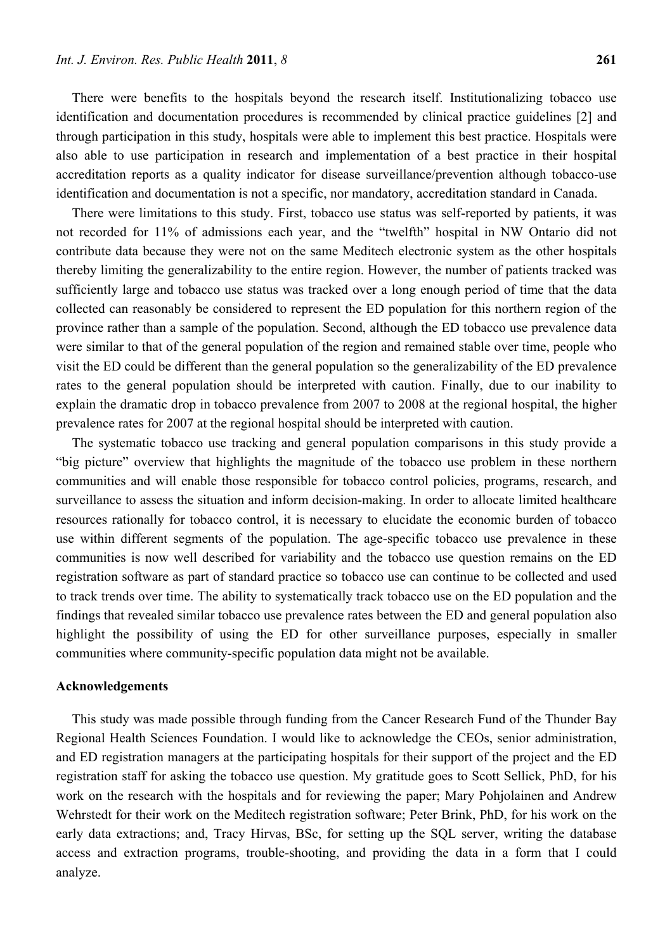There were benefits to the hospitals beyond the research itself. Institutionalizing tobacco use identification and documentation procedures is recommended by clinical practice guidelines [2] and through participation in this study, hospitals were able to implement this best practice. Hospitals were also able to use participation in research and implementation of a best practice in their hospital accreditation reports as a quality indicator for disease surveillance/prevention although tobacco-use identification and documentation is not a specific, nor mandatory, accreditation standard in Canada.

There were limitations to this study. First, tobacco use status was self-reported by patients, it was not recorded for 11% of admissions each year, and the "twelfth" hospital in NW Ontario did not contribute data because they were not on the same Meditech electronic system as the other hospitals thereby limiting the generalizability to the entire region. However, the number of patients tracked was sufficiently large and tobacco use status was tracked over a long enough period of time that the data collected can reasonably be considered to represent the ED population for this northern region of the province rather than a sample of the population. Second, although the ED tobacco use prevalence data were similar to that of the general population of the region and remained stable over time, people who visit the ED could be different than the general population so the generalizability of the ED prevalence rates to the general population should be interpreted with caution. Finally, due to our inability to explain the dramatic drop in tobacco prevalence from 2007 to 2008 at the regional hospital, the higher prevalence rates for 2007 at the regional hospital should be interpreted with caution.

The systematic tobacco use tracking and general population comparisons in this study provide a "big picture" overview that highlights the magnitude of the tobacco use problem in these northern communities and will enable those responsible for tobacco control policies, programs, research, and surveillance to assess the situation and inform decision-making. In order to allocate limited healthcare resources rationally for tobacco control, it is necessary to elucidate the economic burden of tobacco use within different segments of the population. The age-specific tobacco use prevalence in these communities is now well described for variability and the tobacco use question remains on the ED registration software as part of standard practice so tobacco use can continue to be collected and used to track trends over time. The ability to systematically track tobacco use on the ED population and the findings that revealed similar tobacco use prevalence rates between the ED and general population also highlight the possibility of using the ED for other surveillance purposes, especially in smaller communities where community-specific population data might not be available.

#### **Acknowledgements**

This study was made possible through funding from the Cancer Research Fund of the Thunder Bay Regional Health Sciences Foundation. I would like to acknowledge the CEOs, senior administration, and ED registration managers at the participating hospitals for their support of the project and the ED registration staff for asking the tobacco use question. My gratitude goes to Scott Sellick, PhD, for his work on the research with the hospitals and for reviewing the paper; Mary Pohjolainen and Andrew Wehrstedt for their work on the Meditech registration software; Peter Brink, PhD, for his work on the early data extractions; and, Tracy Hirvas, BSc, for setting up the SQL server, writing the database access and extraction programs, trouble-shooting, and providing the data in a form that I could analyze.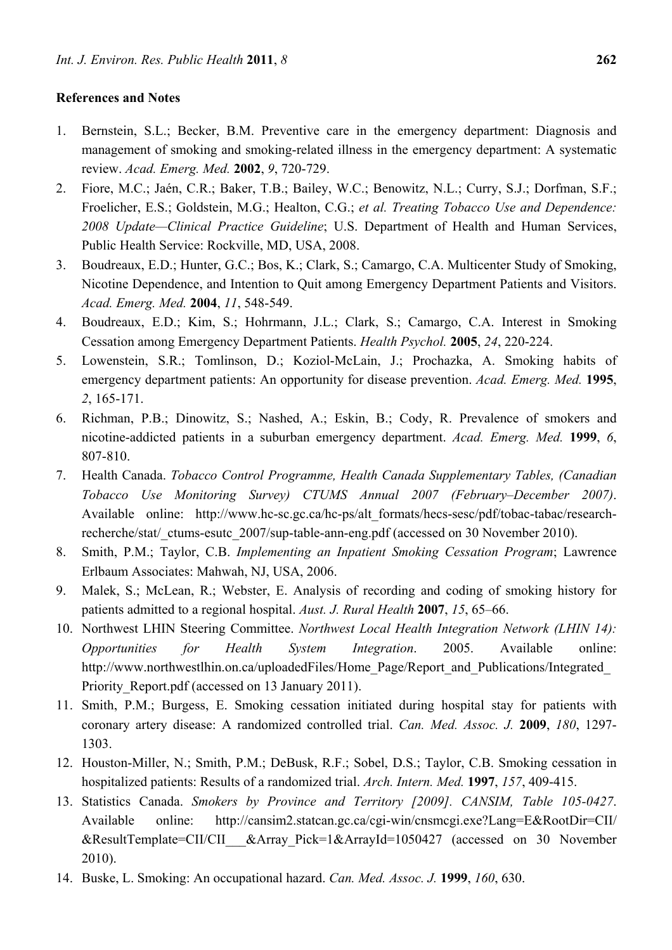# **References and Notes**

- 1. Bernstein, S.L.; Becker, B.M. Preventive care in the emergency department: Diagnosis and management of smoking and smoking-related illness in the emergency department: A systematic review. *Acad. Emerg. Med.* **2002**, *9*, 720-729.
- 2. Fiore, M.C.; Jaén, C.R.; Baker, T.B.; Bailey, W.C.; Benowitz, N.L.; Curry, S.J.; Dorfman, S.F.; Froelicher, E.S.; Goldstein, M.G.; Healton, C.G.; *et al. Treating Tobacco Use and Dependence: 2008 Update—Clinical Practice Guideline*; U.S. Department of Health and Human Services, Public Health Service: Rockville, MD, USA, 2008.
- 3. Boudreaux, E.D.; Hunter, G.C.; Bos, K.; Clark, S.; Camargo, C.A. Multicenter Study of Smoking, Nicotine Dependence, and Intention to Quit among Emergency Department Patients and Visitors. *Acad. Emerg. Med.* **2004**, *11*, 548-549.
- 4. Boudreaux, E.D.; Kim, S.; Hohrmann, J.L.; Clark, S.; Camargo, C.A. Interest in Smoking Cessation among Emergency Department Patients. *Health Psychol.* **2005**, *24*, 220-224.
- 5. Lowenstein, S.R.; Tomlinson, D.; Koziol-McLain, J.; Prochazka, A. Smoking habits of emergency department patients: An opportunity for disease prevention. *Acad. Emerg. Med.* **1995**, *2*, 165-171.
- 6. Richman, P.B.; Dinowitz, S.; Nashed, A.; Eskin, B.; Cody, R. Prevalence of smokers and nicotine-addicted patients in a suburban emergency department. *Acad. Emerg. Med.* **1999**, *6*, 807-810.
- 7. Health Canada. *Tobacco Control Programme, Health Canada Supplementary Tables, (Canadian Tobacco Use Monitoring Survey) CTUMS Annual 2007 (February–December 2007)*. Available online: http://www.hc-sc.gc.ca/hc-ps/alt\_formats/hecs-sesc/pdf/tobac-tabac/researchrecherche/stat/\_ctums-esutc\_2007/sup-table-ann-eng.pdf (accessed on 30 November 2010).
- 8. Smith, P.M.; Taylor, C.B. *Implementing an Inpatient Smoking Cessation Program*; Lawrence Erlbaum Associates: Mahwah, NJ, USA, 2006.
- 9. Malek, S.; McLean, R.; Webster, E. Analysis of recording and coding of smoking history for patients admitted to a regional hospital. *Aust. J. Rural Health* **2007**, *15*, 65–66.
- 10. Northwest LHIN Steering Committee. *Northwest Local Health Integration Network (LHIN 14): Opportunities for Health System Integration*. 2005. Available online: http://www.northwestlhin.on.ca/uploadedFiles/Home\_Page/Report\_and\_Publications/Integrated\_ Priority Report.pdf (accessed on 13 January 2011).
- 11. Smith, P.M.; Burgess, E. Smoking cessation initiated during hospital stay for patients with coronary artery disease: A randomized controlled trial. *Can. Med. Assoc. J.* **2009**, *180*, 1297- 1303.
- 12. Houston-Miller, N.; Smith, P.M.; DeBusk, R.F.; Sobel, D.S.; Taylor, C.B. Smoking cessation in hospitalized patients: Results of a randomized trial. *Arch. Intern. Med.* **1997**, *157*, 409-415.
- 13. Statistics Canada. *Smokers by Province and Territory [2009]. CANSIM, Table 105-0427*. Available online: http://cansim2.statcan.gc.ca/cgi-win/cnsmcgi.exe?Lang=E&RootDir=CII/ &ResultTemplate=CII/CII\_\_\_&Array\_Pick=1&ArrayId=1050427 (accessed on 30 November 2010).
- 14. Buske, L. Smoking: An occupational hazard. *Can. Med. Assoc. J.* **1999**, *160*, 630.